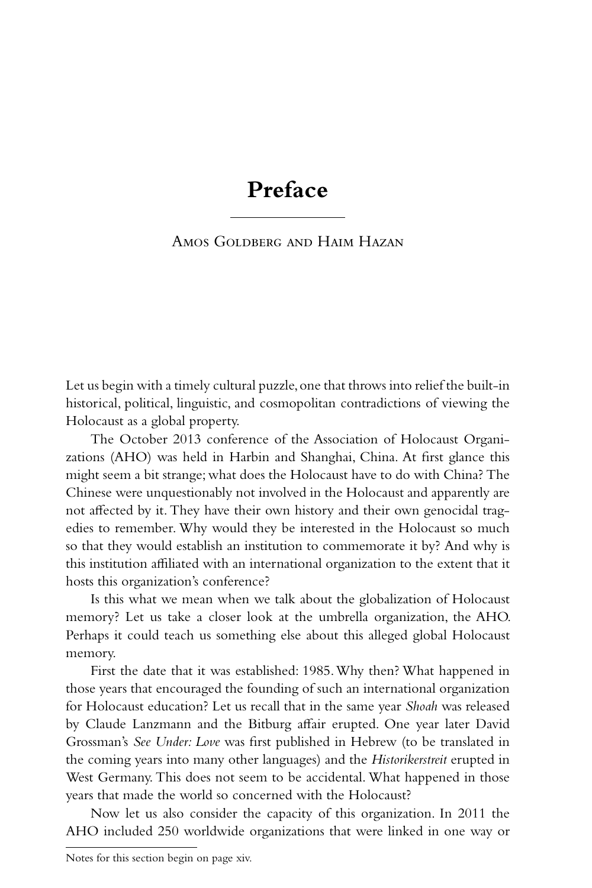## **Preface**

## Amos Goldberg and Haim Hazan

Let us begin with a timely cultural puzzle, one that throws into relief the built-in historical, political, linguistic, and cosmopolitan contradictions of viewing the Holocaust as a global property.

The October 2013 conference of the Association of Holocaust Organizations (AHO) was held in Harbin and Shanghai, China. At first glance this might seem a bit strange; what does the Holocaust have to do with China? The Chinese were unquestionably not involved in the Holocaust and apparently are not affected by it. They have their own history and their own genocidal tragedies to remember. Why would they be interested in the Holocaust so much so that they would establish an institution to commemorate it by? And why is this institution affiliated with an international organization to the extent that it hosts this organization's conference?

Is this what we mean when we talk about the globalization of Holocaust memory? Let us take a closer look at the umbrella organization, the AHO. Perhaps it could teach us something else about this alleged global Holocaust memory.

First the date that it was established: 1985. Why then? What happened in those years that encouraged the founding of such an international organization for Holocaust education? Let us recall that in the same year *Shoah* was released by Claude Lanzmann and the Bitburg affair erupted. One year later David Grossman's *See Under: Love* was first published in Hebrew (to be translated in the coming years into many other languages) and the *Historikerstreit* erupted in West Germany. This does not seem to be accidental. What happened in those years that made the world so concerned with the Holocaust?

Now let us also consider the capacity of this organization. In 2011 the AHO included 250 worldwide organizations that were linked in one way or

Notes for this section begin on page xiv.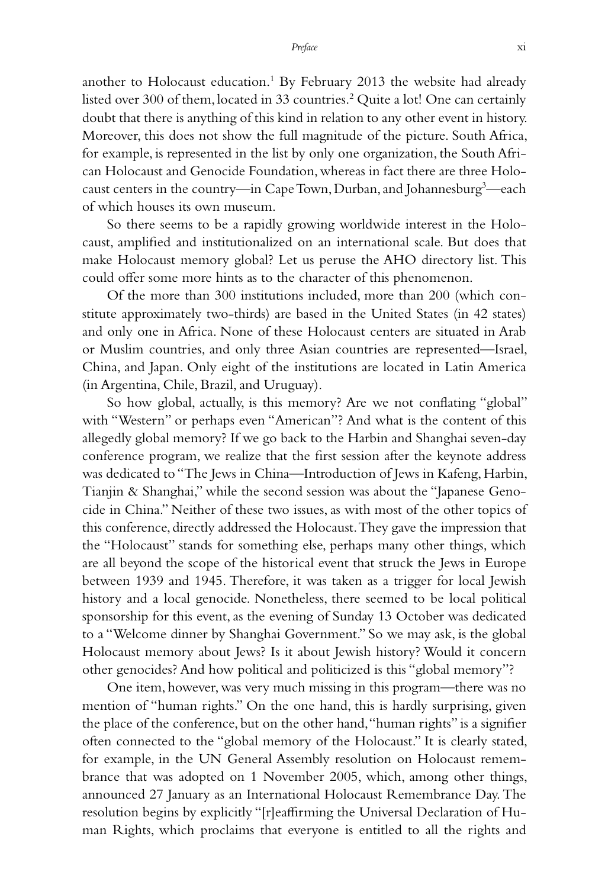another to Holocaust education.<sup>1</sup> By February 2013 the website had already listed over 300 of them, located in 33 countries.<sup>2</sup> Quite a lot! One can certainly doubt that there is anything of this kind in relation to any other event in history. Moreover, this does not show the full magnitude of the picture. South Africa, for example, is represented in the list by only one organization, the South African Holocaust and Genocide Foundation, whereas in fact there are three Holocaust centers in the country—in Cape Town, Durban, and Johannesburg<sup>3</sup>—each of which houses its own museum.

So there seems to be a rapidly growing worldwide interest in the Holocaust, amplified and institutionalized on an international scale. But does that make Holocaust memory global? Let us peruse the AHO directory list. This could offer some more hints as to the character of this phenomenon.

Of the more than 300 institutions included, more than 200 (which constitute approximately two-thirds) are based in the United States (in 42 states) and only one in Africa. None of these Holocaust centers are situated in Arab or Muslim countries, and only three Asian countries are represented—Israel, China, and Japan. Only eight of the institutions are located in Latin America (in Argentina, Chile, Brazil, and Uruguay).

So how global, actually, is this memory? Are we not conflating "global" with "Western" or perhaps even "American"? And what is the content of this allegedly global memory? If we go back to the Harbin and Shanghai seven-day conference program, we realize that the first session after the keynote address was dedicated to "The Jews in China—Introduction of Jews in Kafeng, Harbin, Tianjin & Shanghai," while the second session was about the "Japanese Genocide in China." Neither of these two issues, as with most of the other topics of this conference, directly addressed the Holocaust. They gave the impression that the "Holocaust" stands for something else, perhaps many other things, which are all beyond the scope of the historical event that struck the Jews in Europe between 1939 and 1945. Therefore, it was taken as a trigger for local Jewish history and a local genocide. Nonetheless, there seemed to be local political sponsorship for this event, as the evening of Sunday 13 October was dedicated to a "Welcome dinner by Shanghai Government." So we may ask, is the global Holocaust memory about Jews? Is it about Jewish history? Would it concern other genocides? And how political and politicized is this "global memory"?

One item, however, was very much missing in this program—there was no mention of "human rights." On the one hand, this is hardly surprising, given the place of the conference, but on the other hand, "human rights" is a signifier often connected to the "global memory of the Holocaust." It is clearly stated, for example, in the UN General Assembly resolution on Holocaust remembrance that was adopted on 1 November 2005, which, among other things, announced 27 January as an International Holocaust Remembrance Day. The resolution begins by explicitly "[r]eaffirming the Universal Declaration of Human Rights, which proclaims that everyone is entitled to all the rights and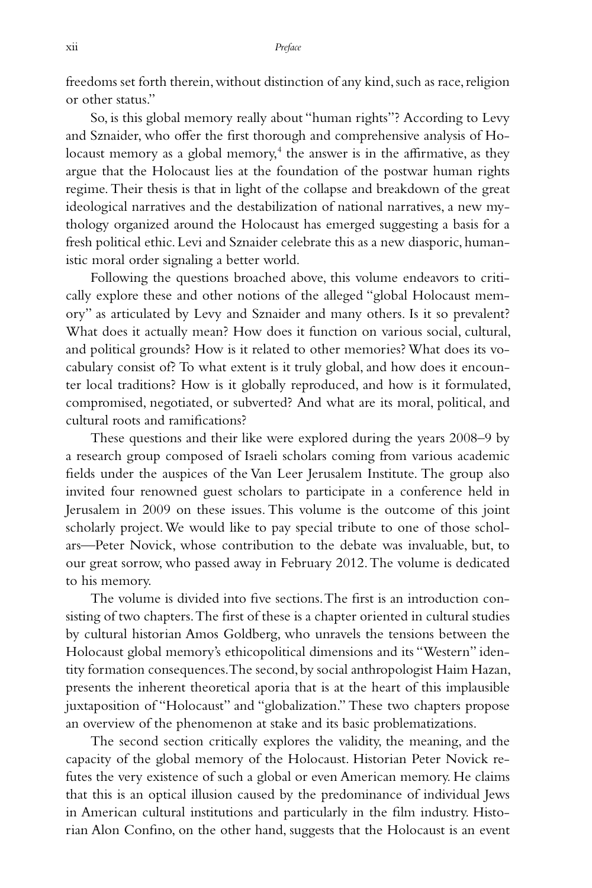freedoms set forth therein, without distinction of any kind, such as race, religion or other status."

So, is this global memory really about "human rights"? According to Levy and Sznaider, who offer the first thorough and comprehensive analysis of Holocaust memory as a global memory,<sup>4</sup> the answer is in the affirmative, as they argue that the Holocaust lies at the foundation of the postwar human rights regime. Their thesis is that in light of the collapse and breakdown of the great ideological narratives and the destabilization of national narratives, a new mythology organized around the Holocaust has emerged suggesting a basis for a fresh political ethic. Levi and Sznaider celebrate this as a new diasporic, humanistic moral order signaling a better world.

Following the questions broached above, this volume endeavors to critically explore these and other notions of the alleged "global Holocaust memory" as articulated by Levy and Sznaider and many others. Is it so prevalent? What does it actually mean? How does it function on various social, cultural, and political grounds? How is it related to other memories? What does its vocabulary consist of? To what extent is it truly global, and how does it encounter local traditions? How is it globally reproduced, and how is it formulated, compromised, negotiated, or subverted? And what are its moral, political, and cultural roots and ramifications?

These questions and their like were explored during the years 2008–9 by a research group composed of Israeli scholars coming from various academic fields under the auspices of the Van Leer Jerusalem Institute. The group also invited four renowned guest scholars to participate in a conference held in Jerusalem in 2009 on these issues. This volume is the outcome of this joint scholarly project. We would like to pay special tribute to one of those scholars—Peter Novick, whose contribution to the debate was invaluable, but, to our great sorrow, who passed away in February 2012. The volume is dedicated to his memory.

The volume is divided into five sections. The first is an introduction consisting of two chapters. The first of these is a chapter oriented in cultural studies by cultural historian Amos Goldberg, who unravels the tensions between the Holocaust global memory's ethicopolitical dimensions and its "Western" identity formation consequences. The second, by social anthropologist Haim Hazan, presents the inherent theoretical aporia that is at the heart of this implausible juxtaposition of "Holocaust" and "globalization." These two chapters propose an overview of the phenomenon at stake and its basic problematizations.

The second section critically explores the validity, the meaning, and the capacity of the global memory of the Holocaust. Historian Peter Novick refutes the very existence of such a global or even American memory. He claims that this is an optical illusion caused by the predominance of individual Jews in American cultural institutions and particularly in the film industry. Historian Alon Confino, on the other hand, suggests that the Holocaust is an event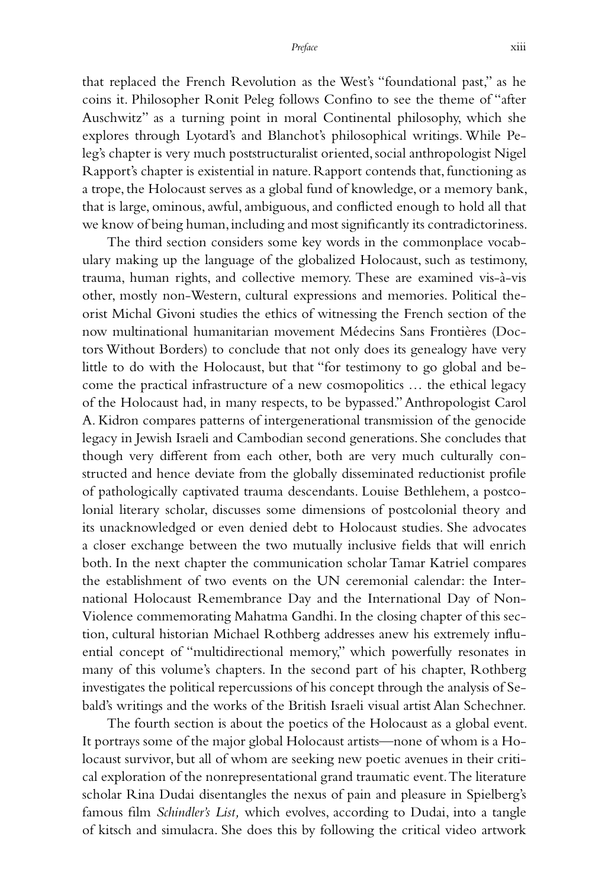that replaced the French Revolution as the West's "foundational past," as he coins it. Philosopher Ronit Peleg follows Confino to see the theme of "after Auschwitz" as a turning point in moral Continental philosophy, which she explores through Lyotard's and Blanchot's philosophical writings. While Peleg's chapter is very much poststructuralist oriented, social anthropologist Nigel Rapport's chapter is existential in nature. Rapport contends that, functioning as a trope, the Holocaust serves as a global fund of knowledge, or a memory bank, that is large, ominous, awful, ambiguous, and conflicted enough to hold all that we know of being human, including and most significantly its contradictoriness.

The third section considers some key words in the commonplace vocabulary making up the language of the globalized Holocaust, such as testimony, trauma, human rights, and collective memory. These are examined vis-à-vis other, mostly non-Western, cultural expressions and memories. Political theorist Michal Givoni studies the ethics of witnessing the French section of the now multinational humanitarian movement Médecins Sans Frontières (Doctors Without Borders) to conclude that not only does its genealogy have very little to do with the Holocaust, but that "for testimony to go global and become the practical infrastructure of a new cosmopolitics … the ethical legacy of the Holocaust had, in many respects, to be bypassed." Anthropologist Carol A. Kidron compares patterns of intergenerational transmission of the genocide legacy in Jewish Israeli and Cambodian second generations. She concludes that though very different from each other, both are very much culturally constructed and hence deviate from the globally disseminated reductionist profile of pathologically captivated trauma descendants. Louise Bethlehem, a postcolonial literary scholar, discusses some dimensions of postcolonial theory and its unacknowledged or even denied debt to Holocaust studies. She advocates a closer exchange between the two mutually inclusive fields that will enrich both. In the next chapter the communication scholar Tamar Katriel compares the establishment of two events on the UN ceremonial calendar: the International Holocaust Remembrance Day and the International Day of Non-Violence commemorating Mahatma Gandhi. In the closing chapter of this section, cultural historian Michael Rothberg addresses anew his extremely influential concept of "multidirectional memory," which powerfully resonates in many of this volume's chapters. In the second part of his chapter, Rothberg investigates the political repercussions of his concept through the analysis of Sebald's writings and the works of the British Israeli visual artist Alan Schechner.

The fourth section is about the poetics of the Holocaust as a global event. It portrays some of the major global Holocaust artists—none of whom is a Holocaust survivor, but all of whom are seeking new poetic avenues in their critical exploration of the nonrepresentational grand traumatic event. The literature scholar Rina Dudai disentangles the nexus of pain and pleasure in Spielberg's famous film *Schindler's List*, which evolves, according to Dudai, into a tangle of kitsch and simulacra. She does this by following the critical video artwork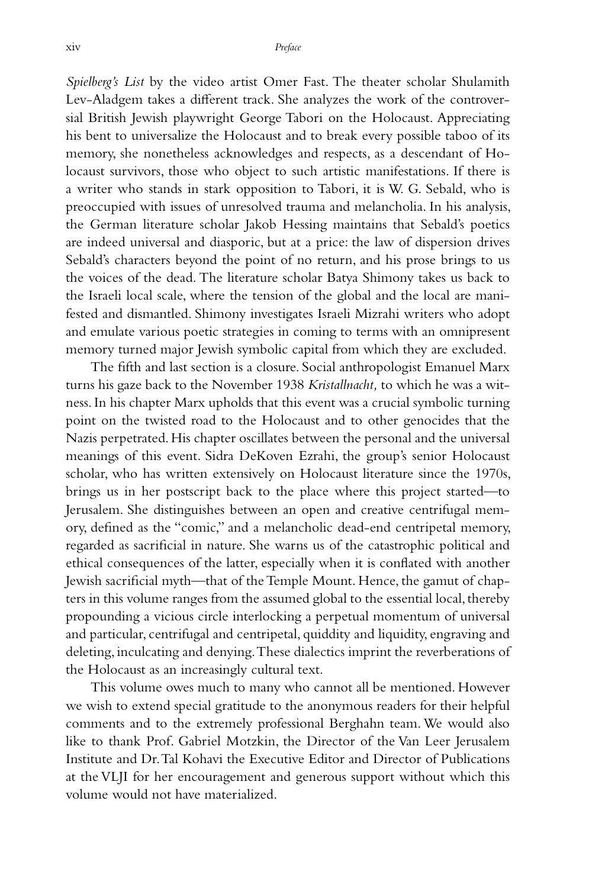*Spielberg's List* by the video artist Omer Fast. The theater scholar Shulamith Lev-Aladgem takes a different track. She analyzes the work of the controversial British Jewish playwright George Tabori on the Holocaust. Appreciating his bent to universalize the Holocaust and to break every possible taboo of its memory, she nonetheless acknowledges and respects, as a descendant of Holocaust survivors, those who object to such artistic manifestations. If there is a writer who stands in stark opposition to Tabori, it is W. G. Sebald, who is preoccupied with issues of unresolved trauma and melancholia. In his analysis, the German literature scholar Jakob Hessing maintains that Sebald's poetics are indeed universal and diasporic, but at a price: the law of dispersion drives Sebald's characters beyond the point of no return, and his prose brings to us the voices of the dead. The literature scholar Batya Shimony takes us back to the Israeli local scale, where the tension of the global and the local are manifested and dismantled. Shimony investigates Israeli Mizrahi writers who adopt and emulate various poetic strategies in coming to terms with an omnipresent memory turned major Jewish symbolic capital from which they are excluded.

The fifth and last section is a closure. Social anthropologist Emanuel Marx turns his gaze back to the November 1938 *Kristallnacht,* to which he was a witness. In his chapter Marx upholds that this event was a crucial symbolic turning point on the twisted road to the Holocaust and to other genocides that the Nazis perpetrated. His chapter oscillates between the personal and the universal meanings of this event. Sidra DeKoven Ezrahi, the group's senior Holocaust scholar, who has written extensively on Holocaust literature since the 1970s, brings us in her postscript back to the place where this project started—to Jerusalem. She distinguishes between an open and creative centrifugal memory, defined as the "comic," and a melancholic dead-end centripetal memory, regarded as sacrificial in nature. She warns us of the catastrophic political and ethical consequences of the latter, especially when it is conflated with another Jewish sacrificial myth—that of the Temple Mount. Hence, the gamut of chapters in this volume ranges from the assumed global to the essential local, thereby propounding a vicious circle interlocking a perpetual momentum of universal and particular, centrifugal and centripetal, quiddity and liquidity, engraving and deleting, inculcating and denying. These dialectics imprint the reverberations of the Holocaust as an increasingly cultural text.

This volume owes much to many who cannot all be mentioned. However we wish to extend special gratitude to the anonymous readers for their helpful comments and to the extremely professional Berghahn team. We would also like to thank Prof. Gabriel Motzkin, the Director of the Van Leer Jerusalem Institute and Dr. Tal Kohavi the Executive Editor and Director of Publications at the VLJI for her encouragement and generous support without which this volume would not have materialized.